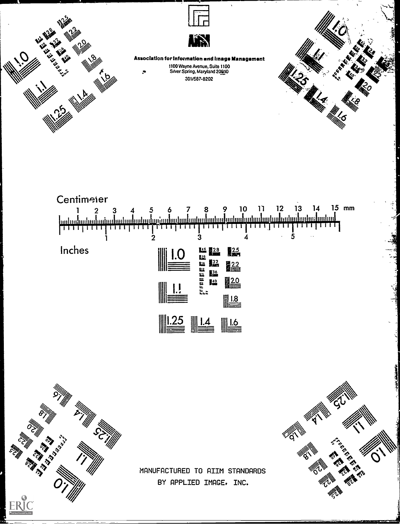





Association for Information and Image Management

1100 Wayne Avenue, Suite 1100 Silver Spring, Maryland 20910 301/587-8202







MANUFACTURED TO AIIM STANDARDS BY APPLIED IMAGE. INC.

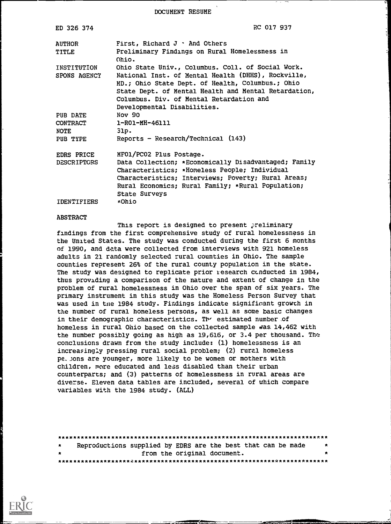DOCUMENT RESUME

| ED 326 374                                             | RC 017 937                                                                                                                                                                                                                                                                                     |
|--------------------------------------------------------|------------------------------------------------------------------------------------------------------------------------------------------------------------------------------------------------------------------------------------------------------------------------------------------------|
| <b>AUTHOR</b><br>TITLE                                 | First, Richard $J - And$ Others<br>Preliminary Findings on Rural Homelessness in<br>Ohio.                                                                                                                                                                                                      |
| INSTITUTION<br>SPONS AGENCY                            | Ohio State Univ., Columbus. Coll. of Social Work.<br>National Inst. of Mental Health (DHHS), Rockville,<br>MD.; Ohio State Dept. of Health, Columbus.; Ohio<br>State Dept. of Mental Health and Mental Retardation,<br>Columbus. Div. of Mental Retardation and<br>Developmental Disabilities. |
| PUB DATE<br><b>CONTRACT</b><br><b>NOTE</b><br>PUB TYPE | Nov 90<br>1-RO1-MH-46111<br>31p.<br>Reports - Research/Technical $(143)$                                                                                                                                                                                                                       |
| EDRS PRICE<br><b>DESCRIPTORS</b>                       | MF01/PC02 Plus Postage.<br>Data Collection; *Economically Disadvantaged; Family<br>Characteristics; *Homeless People; Individual<br>Characteristics; Interviews; Poverty; Rural Areas;<br>Rural Economics; Rural Family; *Rural Population;<br>State Surveys                                   |
| <b>IDENTIFIERS</b>                                     | ∗Ohio                                                                                                                                                                                                                                                                                          |

#### ABSTRACT

This report is designed to present preliminary findings from the first comprehensive study of rural homelessness in the United States. The study was conducted during the first 6 months of 1990, and data were collected from interviews with 921 homeless adults in 21 randomly selected rural counties in Ohio. The sample counties represent 26% of the rural county population in the state. The study was designed to replicate prior iesearch ccnducted in 1984, thus providing a comparison of the nature and extent of change in the problem of rural homelessness in Ohio over the span of six years. The primary instrument in this study was the Homeless Person Survey that was used in tne 1984 study. Findings indicate significant growth in the number of rural homeless persons, as well as some basic changes in their demographic characteristics. The estimated number of homeless in rural Ohio based on the collected sample was. 14,462 with the number possibly going as high as 19,616, or 3.4 per thousand. The conclusions drawn from the study include: (1) homelessness is an increasingly pressing rural social problem; (2) rural homeless pe\_Jons are younger, more likely to be women or mothers with children, more educated and less disabled than their urban counterparts; and (3) patterns of homelessness in rural areas are diverse. Eleven data tables are included, several of which compare variables with the 1984 study. (ALL)

| $\star$ |  | Reproductions supplied by EDRS are the best that can be made | $\pmb{\ast}$ |
|---------|--|--------------------------------------------------------------|--------------|
| $\star$ |  | from the original document.                                  | $\star$      |
|         |  |                                                              |              |

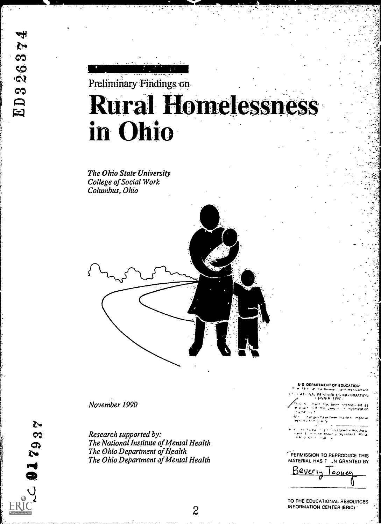# Preliminary Findings on **Rural Homelessness** in Ohio

The Ohio State University College of Social Work Columbus, Ohio



November 1990

娶

69

 $\boldsymbol{\Omega}$ 

 $\sum$ 

Research supported by: The National Institute of Mental Health The Ohio Department of Health The Ohio Department of Mental Health **OEPARTMENT OF EQUCATION** 

- **CONTRACT SECONDATION**<br>NAL RESOURCES INFORMATION<br>CENTER-ERICI
- t has been reprodu produced las<br>litganization  $L = 15 - r$
- 
- ia<br>eserti ittica  $\epsilon \omega_{\rm{B}} \approx$  $\epsilon$  and

PERMISSION TO REPRODUCE THIS MATERIAL HAS F .N GRANTED BY



TO THE EDUCATIONAL RESOURCES **INFORMATION CENTER (ERIC)**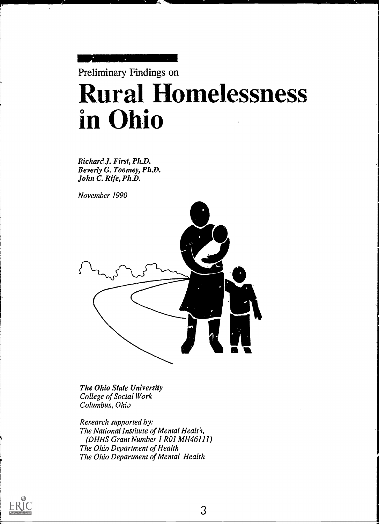

Richard J. First, Ph.D. Beverly G. Toomey, Ph.D. John C. Rife, Ph.D.

November 1990



The Ohio State University College of Social Work Columbus, Ohio

Research supported by: The National Institute of Mental Health, (DHHS Giant Number I R01 MH46111) The Ohio Department of Health The Ohio Department of Mental Health

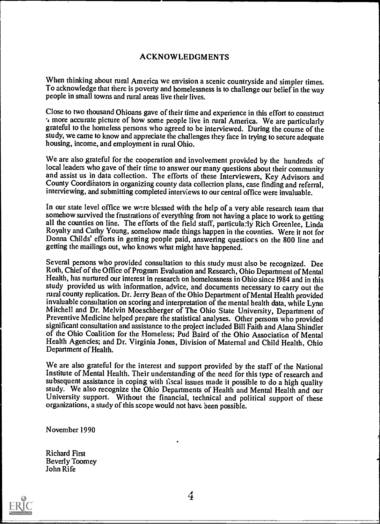#### ACKNOWLEDGMENTS

When thinking about rural America we envision a scenic countryside and simpler times. To acknowledge that there is poverty and homelessness is to challenge our belief in the way people in small towns and rural areas live their lives.

Close to two thousand Ohioans gave of their time and experience in this effort to construct -I more accurate picture of how some people live in rural America. We are particularly grateful to the homeless persons who agreed to be interviewed. During the course of the study, we came to know and appreciate the challenges they face in trying to secure adequate housing, income, and employment in rural Ohio.

We are also grateful for the cooperation and involvement provided by the hundreds of local leaders who gave of their time to answer our many questions about their community and assist us in data collection. The efforts of thcse Interviewers, Key Advisors and County Coordihators in organizing county data collection plans, case finding and referral, interviewing, and submitting completed interviews to our central office were invaluable.

In our state level office we were blessed with the help of a very able research team that somehow survived the frustrations of everything from not having a place to work to getting all the counties on line. The efforts of the field staff, particula:ly Rich Greenlee, Linda Royalty and Cathy Young, somehow made things happen in the counties. Were it not for Donna Childs' efforts in getting people paid, answering questiors on the 800 line and getting the mailings out, who knows what might have happened.

Several persons who provided consultation to this study must also he recognized. Dee Roth, Chief of the Office of Program Evaluation and Research, Ohio Department of Mental Health, has nurtured our interest in research on homelessness in Ohio since 1984 and in this study provided us with information, advice, and documents necessary to carry out the rural county replication. Dr. Jerry Bean of the Ohio Department of Mental Health provided invaluable consultation on scoring and interpretation of the mental health data, while Lynn Mitchell and Dr. Melvin Moeschberger of The Ohio State University, Department of Preventive Medicine helped prepare the statistical analyses. Other persons who provided significant consultation and assistance to the project included Bill Faith and Alana Shindler of the Ohio Coalition for the Homeless; Pud Baird of the Ohio Association of Mental Health Agencies; and Dr. Virginia Jones, Division of Maternal and Child Health, Ohio Department of Health.

We are also grateful for the interest and support provided by the staff of the National Institute of Mental Health. Their understanding of the need for this type of research and subsequent assistance in coping with fiscal issues made it possible to do a high quality study. We also recognize the Ohio Departments of Health and Mental Health and our University support. Without the financial, technical and political support of these organizations, a study of this scope would not have been possible.

November 1990

Richard First Beverly Toomey John Rife

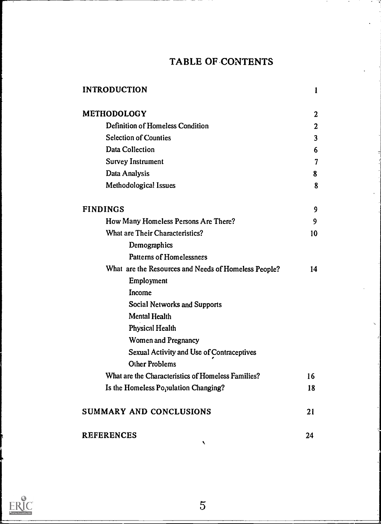## TABLE OF-CONTENTS

| <b>INTRODUCTION</b>                                  | 1                       |
|------------------------------------------------------|-------------------------|
| <b>METHODOLOGY</b>                                   | $\boldsymbol{2}$        |
| Definition of Homeless Condition                     | $\overline{2}$          |
| <b>Selection of Counties</b>                         | $\overline{\mathbf{3}}$ |
| <b>Data Collection</b>                               | 6                       |
| <b>Survey Instrument</b>                             | 7                       |
| Data Analysis                                        | 8                       |
| Methodological Issues                                | 8                       |
| <b>FINDINGS</b>                                      | 9                       |
| How Many Homeless Persons Are There?                 | 9                       |
| What are Their Characteristics?                      | 10                      |
| Demographics                                         |                         |
| <b>Patterns of Homelessness</b>                      |                         |
| What are the Resources and Needs of Homeless People? | 14                      |
| Employment                                           |                         |
| Income                                               |                         |
| <b>Social Networks and Supports</b>                  |                         |
| <b>Mental Health</b>                                 |                         |
| Physical Health                                      |                         |
| <b>Women and Pregnancy</b>                           |                         |
| Sexual Activity and Use of Contraceptives            |                         |
| <b>Other Problems</b>                                |                         |
| What are the Characteristics of Homeless Families?   | 16                      |
| Is the Homeless Population Changing?                 | 18                      |
| SUMMARY AND CONCLUSIONS                              | 21                      |
| <b>REFERENCES</b>                                    | 24                      |

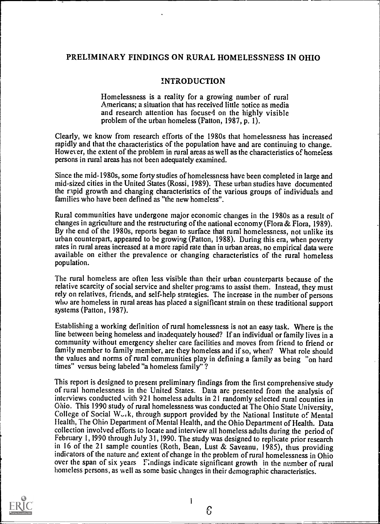#### PRELIMINARY FINDINGS ON RURAL HOMELESSNESS IN OHIO

#### INTRODUCTION

Homelessness is a reality for a growing number of rural Americans; a situation that has received little notice as media and research attention has focused on the highly visible problem of the urban homeless (Patton, 1987, p. 1).

Clearly, we know from research efforts of the 1980s that homelessness has increased rapidly and that the characteristics of the population have and are continuing to change. However, the extent of the problem in rural areas as well as the characteristics of homeless persons in rural areas has not been adequately examined.

Since the mid-1980s, some forty studies of homelessness have been completed in large and mid-sized cities in the United States (Rossi, 1989). These urban studies have documented the ripid growth and changing characteristics of the various groups of individuals and families who have been defined as "the new homeless".

Rural communities have undergone major economic changes in the 1980s as a result of changes in agriculture and the restructuring of the national economy (Flora & Flora, 1989). By the end of the 1980s, reports began to surface that rural homelessness, not unlike its urban counterpart, appeared to be growing (Patton, 1988). During this era, when poverty rates in rural areas increased at a more rapid rate than in urban areas, no empirical data were available on either the prevalence or changing characteristics of the rural homeless population.

The rural homeless are often less visible than their urban counterparts because of the relative scarcity of social service and shelter programs to assist them. Instead, they must rely on relatives, friends, and self-help strategies. The increase in the number of persons who are homeless in rural areas has placed a significant strain on these traditional support systems (Patton, 1987).

Establishing a working definition of rural homelessness is not an easy task. Where is the line between being homeless and inadequately housed? If an individual or family lives in a community without emergency shelter care facilities and moves from friend to friend or family member to family member, are they homeless and if so, when? What role should the values and norms of rural communities play in defining a family as being "on hard times" versus being labeled "a homeless family" ?

This report is designed to present preliminary findings from the first comprehensive study of rural homelessness in the United States. Data are presented from the analysis of interviews conducted with 921 homeless adults in 21 randomly selected rural counties in Ohio. This 1990 study of rural homelessness was conducted at The Ohio State University, College of Social  $W_{\gamma}$ , through support provided by the National Institute of Mental Health, The Ohin Department of Mental Health, and the Ohio Department of Health. Data collection involved efforts to locate and interview all homeless adults during the period of February 1, 1990 through July 31,1990. The study was designed to replicate prior research in 16 of the 21 sample counties (Roth, Bean, Lust & Saveanu, 1985), thus providing indicators of the nature and extent of change in the problem of rural homelessness in Ohio over the span of six years Findings indicate significant growth in the number of rural homeless persons, as well as some basic Lhanges in their demographic characteristics.



6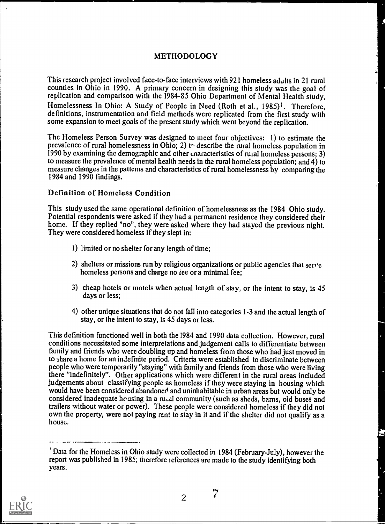#### METHODOLOGY

This research project involved face-to-face interviews with 921 homeless adults in 21 rural counties in Ohio in 1990. A primary concern in designing this study was the goal of replication and comparison with the 1984-85 Ohio Department of Mental Health study, Homelessness In Ohio: A Study of People in Need (Roth et al., 1985)<sup>1</sup>. Therefore, definitions, instrumentation and field methods were replicated from the first study with some expansion to meet goals of the present study which went beyond the replication.

The Homeless Person Survey was designed to meet four objectives: 1) to estimate the prevalence of rural homelessness in Ohio; 2) to describe the rural homeless population in 1990 by examining the demographic and other cnaracteristics of rural homeless persons; 3) to measure the prevalence of mental health needs in the rural homeless population; and 4) to measure changes in the patterns and characteristics of rural homelessness by comparing the 1984 and 1990 findings.

#### Definition of Homeless Condition

This study used the same operational definition of homelessness as the 1984 Ohio study. Potential respondents were asked if they had a permanent residence they considered their home. If they replied "no", they were asked where they had stayed the previous night. They were considered homeless if they slept in:

- 1) limited or no shelter for any length of time;
- 2) shelters or missions run by religious organizations or public agencies that serve homeless persons and charge no *iee* or a minimal fee;
- 3) cheap hotels or motels when actual length of stay, or the intent to stay, is 45 days or less;
- 4) other unique situations that do not fall into categories 1-3 and the actual length of stay, or the intent to stay, is 45 days or less.

This definition functioned well in both the 1984 and 1990 data collection. However, rural conditions necessitated some interpretations and judgement calls to differentiate between family and friends who were doubling up and homeless from those who had just moved in to share a home for an indefinite period. Criteria were established to discriminate between people who were temporarily "staying" with family and friends from those who were living there "indefinitely". Other applications which were different in the rural areas included judgements about classifying people as homeless if they were staying in housing which would have been considered abandoned and uninhabitable in urban areas but would only be considered inadequate housing in a ru,a1 community (such as sheds, barns, old buses and trailers without water or power). These people were considered homeless if they did not own the property, were not paying rent to stay in it and if the shelter did not qualify as a house.

<sup>&#</sup>x27; Data for the Homeless in Ohio study were collected in 1984 (February-July), however the report was published in 1985; therefore references are made to the study identifying both years.



 $\overline{a}$   $\overline{a}$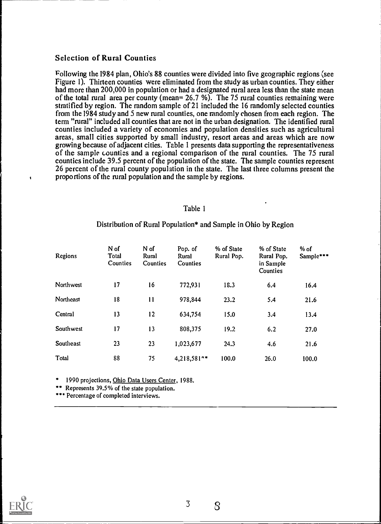#### Selection of Rural Counties

following the 1984 plan, Ohio's 88 counties were divided into five geographic regions (see Figure I). Thirteen counties were eliminated from the study as urban counties. They either had more than 200,000 in population or had a designated rural area less than the state mean of the total rural area per county (mean= 26.7 %). The 75 rural counties remaining were stratified by region. The random sample of 21 included the 16 randomly selected counties from the 1984 study and 5 new rural counties, one randomly chosen from each region. The term "rural" included all counties that are not in the urban designation. The identified rural counties included a variety of economies and population densities such as agricultural areas, small cities supported by small industry, resort areas and areas which are now growing because of adjacent cities. Table 1 presents data supporting the representativeness of the sample counties and a regional comparison of the rural counties. The 75 rural counties include 39.5 percent of the population of the state. The sample counties represent 26 percent of the rural county population in the state. The last three columns present the proportions of the rural population and the sample by regions.

#### Table I

| Regions   | N of<br>Total<br>Counties | N of<br>Rural<br>Counties | Pop. of<br>Rural<br><b>Counties</b> | % of State<br>Rural Pop. | % of State<br>Rural Pop.<br>in Sample<br>Counties | % of<br>Sample*** |
|-----------|---------------------------|---------------------------|-------------------------------------|--------------------------|---------------------------------------------------|-------------------|
| Northwest | 17                        | 16                        | 772,931                             | 18.3                     | 6.4                                               | 16.4              |
| Northeast | 18                        | $\mathbf{1}$              | 978,844                             | 23.2                     | 5.4                                               | 21.6              |
| Central   | 13                        | 12                        | 634,754                             | 15.0                     | 3.4                                               | 13.4              |
| Southwest | 17                        | 13                        | 808,375                             | 19.2                     | 6.2                                               | 27.0              |
| Southeast | 23                        | 23                        | 1,023,677                           | 24.3                     | 4.6                                               | 21.6              |
| Total     | 88                        | 75                        | 4,218,581**                         | 100.0                    | 26.0                                              | 100.0             |

#### Distribution of Rural Population\* and Sample in Ohio by Region

1990 projections, Ohio Data Users Center, 1988.

\*\* Represents 39.5% of the state population.

\* Percentage of completed interviews.

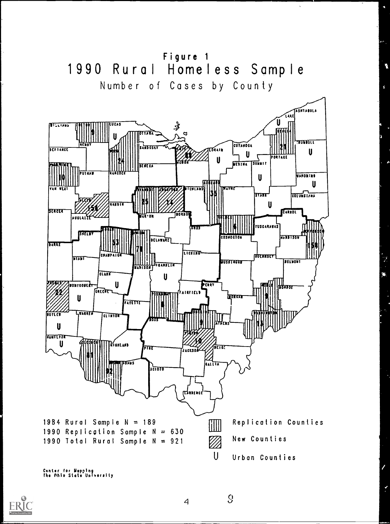

 $\overline{4}$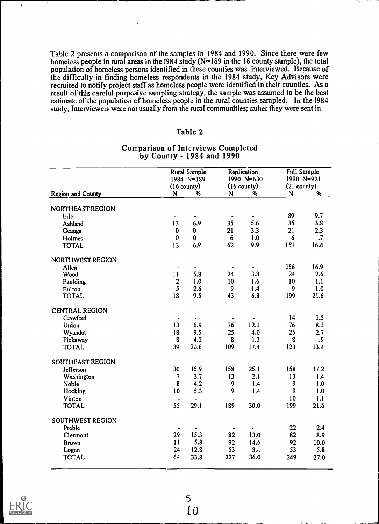Table 2 presents a comparison of the samples in 1984 and 1990. Since there were few homeless people in rural areas in the 1984 study  $(N=189)$  in the 16 county sample), the total population of homeless persons identified in these counties was interviewed. Because of the difficulty in finding homeless respondents in the 1984 study, Key Advisors were recruited to notify project staff as homeless people were identified in their counties. As a result of this careful purposive sampling strategy, the sample was assumed to be the best estimate of the population of homeless people in the rural counties sampled. In the 1984 study, Interviewers were not usually from the rural communities; rather they were sent in

#### Table 2

|                       |                          | <b>Rural Sample</b><br>$1984 N = 189$<br>$(16$ county) |                | Replication<br>$1990 N = 630$<br>$(16$ county) | <b>Full Sample</b><br>$(21 \text{ county})$ | 1990 N=921 |
|-----------------------|--------------------------|--------------------------------------------------------|----------------|------------------------------------------------|---------------------------------------------|------------|
| Region and County     | N                        | %                                                      | N              | %                                              | N                                           | %          |
| NORTHEAST REGION      |                          |                                                        |                |                                                |                                             |            |
| Erie                  |                          |                                                        |                | ٠                                              | 89                                          | 9.7        |
| Ashland               | 13                       | 6.9                                                    | 35             | 5.6                                            | 35                                          | 3.8        |
| Geauga                | $\pmb{0}$                | 0                                                      | 21             | 3.3                                            | 21                                          | 2.3        |
| Holmes                | $\mathfrak{g}$           | $\mathbf 0$                                            | 6              | 1.0                                            | 6                                           | $\cdot$    |
| <b>TOTAL</b>          | 13                       | 6.9                                                    | 62             | 9.9                                            | 151                                         | 16.4       |
| NORTHWEST REGION      |                          |                                                        |                |                                                |                                             |            |
| Allen                 |                          |                                                        |                |                                                | 156                                         | 16.9       |
| Wood                  | 11                       | 5.8                                                    | 24             | 3.8                                            | 24                                          | 2.6        |
| Paulding              | $\frac{2}{5}$            | 1.0                                                    | 10             | 1.6                                            | 10                                          | 1.1        |
| Fulton                |                          | 2.6                                                    | 9              | 1.4                                            | 9                                           | 1.0        |
| <b>TOTAL</b>          | 18                       | 9.5                                                    | 43             | 6.8                                            | 199                                         | 21.6       |
| <b>CENTRAL REGION</b> |                          |                                                        |                |                                                |                                             |            |
| Crawford              |                          |                                                        | $\blacksquare$ | ۰                                              | 14                                          | 1.5        |
| Union                 | 13                       | 6.9                                                    | 76             | 12.1                                           | 76                                          | 8.3        |
| Wyandot               | 18                       | 9.5                                                    | 25             | 4.0                                            | 25                                          | 2.7        |
| Pickaway              | $\pmb{8}$                | 4.2                                                    | 8              | 1.3                                            | 8                                           | .9         |
| <b>TOTAL</b>          | 39                       | 20.6                                                   | 109            | 17.4                                           | 123                                         | 13.4       |
| SOUTHEAST REGION      |                          |                                                        |                |                                                |                                             |            |
| Jefferson             | 30                       | 15.9                                                   | 158            | 25.1                                           | 158                                         | 17.2       |
| Washington            | $\overline{\phantom{a}}$ | 3.7                                                    | 13             | 2.1                                            | 13                                          | 1.4        |
| Noble                 | 8                        | 4.2                                                    | 9              | 1.4                                            | 9                                           | 1.0        |
| Hocking               | 10                       | 5.3                                                    | 9              | 1.4                                            | 9                                           | 1.0        |
| Vinton                |                          | $\blacksquare$                                         | $\bullet$      |                                                | 10                                          | 1.1        |
| <b>TOTAL</b>          | 55                       | 29.1                                                   | 189            | 30.0                                           | 199                                         | 21.6       |
| SOUTHWEST REGION      |                          |                                                        |                |                                                |                                             |            |
| Preble                |                          |                                                        |                |                                                | 22                                          | 2.4        |
| Clermont              | 29                       | 15.3                                                   | 82             | 13.0                                           | 82                                          | 8.9        |
| <b>Brown</b>          | 11                       | 5.8                                                    | 92             | 14.6                                           | 92                                          | 10.0       |
| Logan                 | 24                       | 12.8                                                   | 53             | 8.5                                            | 53                                          | 5.8        |
| <b>TOTAL</b>          | 64                       | 33.8                                                   | 227            | 36.0                                           | 249                                         | 27.0       |

#### Comparison of Interviews Completed by County - 1984 and 1990



5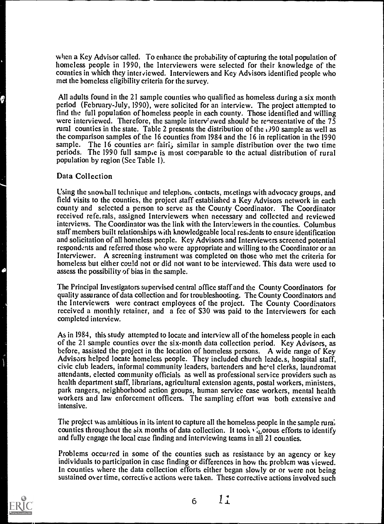when a Key Advisor called. To enhance the probability of capturing the total population of homeless people in 1990, the Interviewers were selected for their knowledge of the counties in which they interviewed. Interviewers and Key Advisors identified people who met the homeless eligibility criteria for the survey.

All adults found in the 21 sample counties who qualified as homeless during a six month period (February-July, 1990), were solicited for an interview. The project attempted to find the full population of homeless people in each county. Those identified and willing were interviewed. Therefore, the sample interv'ewed should be renresentative of the 75 rural counties in the state. Table 2 presents the distribution of the  $\frac{1}{2}90$  sample as well as the comparison samples of the 16 counties from 1984 and the 16 in replication in the 1990 sample. The 16 counties are fairly similar in sample distribution over the two time periods. The 1990 full sample is most comparable to the actual distribution of rural population by region (See Table 1).

#### Data Collection

Using the snowball technique and telephone contacts, meetings with advocacy groups, and field visits to the counties, the project staff established a Key Advisors network in each county and selected a person to serve as the County Coordinator. The Coordinator received refe.rals, assigned Interviewers when necessary and collected and reviewed interviews. The Coordinator was the link with the Interviewers in the counties. Columbus staff members built relationships with knowledgeable local resldents to ensure identification and solicitation of all homeless people. Key Advisors and Interviewers screened potential respondents and referred those who were appropriate and willing to the Coordinator or an Interviewer. A screening instrument was completed on those who met the criteria for homeless but either could not or did not want to be interviewed. This data were used to assess the possibility of bias in the sample.

The Principal Investigators supervised central office staff and the County Coordinators for quality assurance of data collection and for troubleshooting. The County Coordinators and the Interviewers were contract employees of the project. The County Coordinators received a monthly retainer, and a fee of \$30 was paid to the Interviewers for each completed interview.

As in 1984, this study attempted to locate and interview all of the homeless people in each of the 21 sample counties over the six-month data collection period. Key Advisors, as before, assisted the project in the location of homeless persons. A wide range of Key Advisors helped locate homeless people. They included church leade..s, hospital staff, civic club leaders, informal community leaders, bartenders and hc'el clerks, laundromat attendants, elected community officials as well as professional service providers such as health department staff, librarians, agricultural extension agents, postal workers, ministers, park rangers, neighborhood action groups, human service case workers, mental health workers and law enforcement officers. The sampling effort was both extensive and intensive.

The project was ambitious in its intent to capture all the homeless people in the sample rum; counties throughout the six months of data collection. It took  $v_i$  or ous efforts to identify and fully engage the local case finding and interviewing teams in all 21 counties.

Problems occurred in some of the counties such as resistance by an agency or key individuals to participation in case finding or differences in how the problem was viewed. In counties where the data collection efforts either began slowly or or were not being sustained over time, corrective actions were taken. These corrective actions involved such

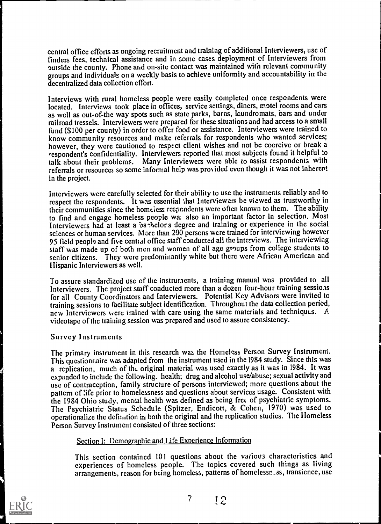central office efforts as ongoing recruitment and training of additional Interviewers, use of finders fees, technical assistance and in some cases deployment of Interviewers from outside the county. Phone arid on-site contact was maintained with relevant community groups and individuals on a weekly basis to achieve uniformity and accountability in the decentralized data collection effort.

Interviews with rural homeless people were easily completed once respondents were located. Interviews took place in offices, service settings, diners, motel rooms and cars as well as out-of-the way spots such as state parks, barns, laundromats, bars and under railroad tressels. Interviewers were prepared for these situations and had access to a small fund (\$100 per county) in order to offer food or assistance. Interviewers were trained to know community resources and make referrals for respondents who wanted services; however, they were cautioned to respect client wishes and not be coercive or break a respondent's confidentiality. Interviewers reported that most subjects found it helpful to talk about their problems. Many Interviewers were able to assist respondents with referrals or resource:. so some informal help was provided even though it was not inherent in the project.

Interviewers were carefully selected for their ability to use the instruments reliably and to respect the respondents. It was essential that Interviewers be viewed as trustworthy in their communities since the homeless respondents were often known to them. The ability to find and engage homeless people wa also an important factor in selection. Most Interviewers had at least a barhelors degree and training or experience in the social sciences or human services. More than 200 persons were trained for interviewing however 95 field people and five cential office staff conducted all the interviews. The interviewing staff was made up of both men and women of all age groups from college students to senior citizens. They were predominantly white but there were African American and Hispanic Interviewers as well.

To assure standardized use of the instruments, a training manual was provided to all Interviewers. The project staff conducted more than a dozen four-hour training sessioas for all County Coordinators and Interviewers. Potential Key Advisors were invited to training sessions to facilitate subject identification. Throughout the data collection period, new Interviewers were trained with care using the same materials and techniques.  $\angle A$ videotape of the training session was prepared and used to assure consistency.

#### Survey Instruments

The primary instrument in this research was the Homeless Person Survey Instrument. This questionr,aire was adapted from the instrument used in the 1984 study. Since this was a replication, much of the original material was used exactly as it was in 1984. It was expanded to include the following. health; drug and alcohol use/abuse; sexual activity and use of contraception, family structure of persons interviewed; more questions about the pattern of life prior to homelessness and questions about services usage. Consistent with the 1984 Ohio study, mental health was defined as being fret of psychiatric symptoms. The Psychiatric Status Schedule (Spitzer, Endicott, & Cohen, 1970) was used to opemtionalize the definition in both the original and the replication studies. The Homeless Person Survey Insrrurnent consisted of three sections:

#### Section 1: Demographic and Life Experience Information

This section contained 101 questions about the various characteristics and experiences of homeless people. The topics covered such things as living arrangements, reason for being homeless, patterns of homelessn ass, transience, use

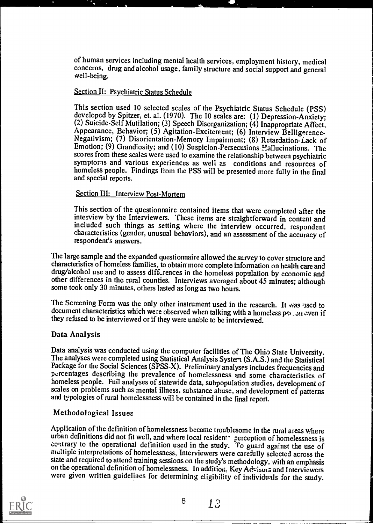of human services including mental health services, employment history, medical concerns, drug and alcohol usage, family structure and social support and general well-being.

#### Section II: Psychiatric Status Schedule

This section used 10 selected scales of the Psychiatric Status Schedule (PSS) developed by Spitzer, et. al. (1970). The 10 scales are: (1) Depression-Anxiety; (2) Suicide-Self Mutilation; (3) Speech Disorganization; (4) Inappropriate Affect, Appearance, Behavior; (5) Agitation-Excitement; (6) Interview Belligerence-Negativism; (7) Disorientation-Memory Impairment; (8) Retardation-Lack of Emotion; (9) Grandiosity; and (10) Suspicion-Persecutions Hallucinations. The scores from these scales were used to examine the relationship between psychiatric symptoms and various experiences as well as conditions and resources of homeless people. Findings from the PSS will be presented more fully in the final and special reports.

#### Section III: Interview Post-Mortem

This section of the questionnaire contained items that were completed after the interview by the Interviewers. These items are straightforward in content and included such things as setting where the interview occurred, respondent characteristics (gender, unusual behaviors), and an assessment of the accuracy of respondent's answers.

The large sample and the expanded questionnaire allowed the survey to cover structure and characteristics of homeless families, to obtain more complete information on health care and other differences in the rural counties. Interviews averaged about 45 minutes: although some took only 30 minutes, others lasted as long as two hours.

The Screening Form was the only other instrument used in the research. It was used to document characteristics which were observed when talking with a homeless per . 311 aven if they refused to be interviewed or if they were unable to be interviewed.

#### Data Analysis

Data analysis was conducted using the computer facilities of The Ohio State University.<br>The analyses were completed using Statistical Analysis System (S.A.S.) and the Statistical<br>Package for the Social Sciences (SPSS-X). P percentages describing the prevalence of homelessness and some characteristics of homeless people. Fuil analyses of statewide data, subpopulation studies, development of scales on problems such as mental illness, substance abuse, and development of patterns and typologies of rural homelessness will be contained in the final report.

## Methodological Issues

Application of the definition of homelessness became troublesome in the rural areas where urban definitions did not fit well, and where local resident- perception of homelessness is contrary to the operational definition used in the study. To guard against the use of multiple interpretations of homelessness, Interviewers were carefully selected across the state and required to attend training sessions on the study's methodology, with an emphasis on the operational definition of homelessness. In addition, Key Advisors and Interviewers were given written guidelines for determining eligibility of individuals for the study.

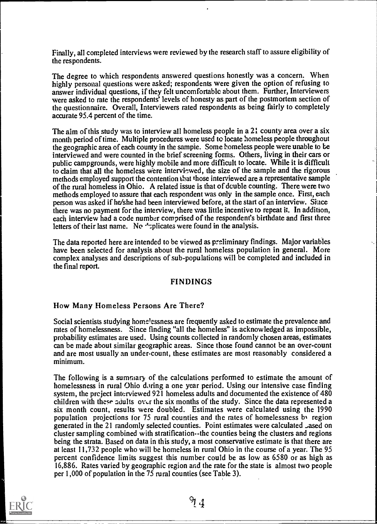Finally, all completed interviews were reviewed by the research staff to assure eligibility of the respondents.

The degree to which respondents answered questions honestly was a concern. When highly personal questions were asked; respondents were given the option of refusing to answer individual questions, if they felt uncomfortable about them. Further, Interviewers were asked to rate the respondents' levels of honesty as part of the postmortem section of the questionnaire. Overall, Interviewers rated respondents as being fairly to completely accurate 95.4 percent of the time.

The aim of this study was to interview all homeless people in a 21 county area over a six month period of time. Multiple procedures were used te locate homeless people throughout the geographic area of each county in the sampie. Some homeless people were unable to be interviewed and were counted in the brief screening forms. Others, living in their cars or public campgrounds, were highly mobile and more difficult to locate. While it is difficult to claim that all the homeless were interviewed, the size of the sample and the rigorous methods employed support the contention that those interviewed are a representative sample of the rural homeless in Ohio. A related issue is that of double counting. There were two methods employed to assure that each respondent was only in the sample once. First, each person was asked if he/she had been interviewed before, at the start of an interview. Since there was no payment for the interview, there was little incentive to repeat it. In addition, each interview had a code number comprised of the respondent's birthdate and first three letters of their last name. No  $\lambda$ : plicates were found in the analysis.

The data reported here are intended to be viewed as preliminary findings. Major variables have been selected for analysis about the rural homeless population in general. More complex analyses and descriptions of sub-populations will be completed and included in the final report.

#### FINDINGS

#### How Many Homeless Persons Are There?

Social scientists studying homelessness are frequently asked to estimate the prevalence and rates of homelessness. Since finding "all the homeless" is acknowledged as impossible, probability estimates are used. Using counts collected in randomly chosen areas, estimates can be made about similar geographic areas. Since those found cannot be an over-count and are most usually an under-count, these estimates are most reasonably considered a minimum.

The following is a summary of the calculations performed to estimate the amount of homelessness in rural Ohio daring a one year period. Using our intensive case finding system, the preject interviewed 921 homeless adults and documented the existence of  $480$ children with these adults over the six months of the study. Since the data represented a six month count, results were doubled. Estimates were calculated using the 1990 population projections for  $75$  rural counties and the rates of homelessness by region generated in the 21 randomly selected counties. Point estimates were calculated Lased on cluster sampling combined with stratification--the counties being the clusters and regions being the strata. Based on data in this study, a most conservative estimate is that there are at least 11,732 people who will be homeless in rural Ohio in the course of a year. The 95 percent confidence limits suggest this number could be as low as 6580 or as high as 16,886. Rates varied by geographic region and the rate for the state is almost two people per 1,000 of population in the 75 rural counties (see Table 3).

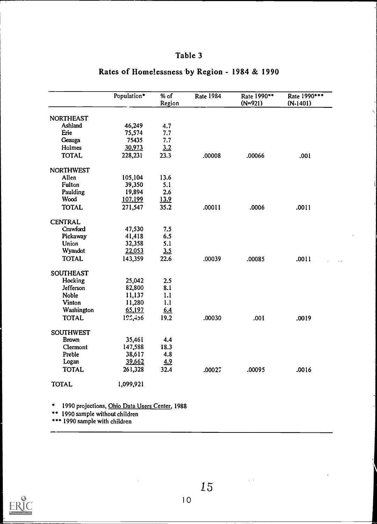## Table 3

|                  | Population* | % of<br>Region | <b>Rate 1984</b> | Rate 1990**<br>$(N=921)$ | Rate 1990 ***<br>$(N-1401)$ |
|------------------|-------------|----------------|------------------|--------------------------|-----------------------------|
| <b>NORTHEAST</b> |             |                |                  |                          |                             |
| Ashland          | 46,249      | 4.7            |                  |                          |                             |
| Erie             | 75,574      | 7.7            |                  |                          |                             |
| Geauga           | 75435       | 7.7            |                  |                          |                             |
| Holmes           | 30,973      | 3.2            |                  |                          |                             |
| <b>TOTAL</b>     | 228,231     | 23.3           | .00008           | .00066                   | .001                        |
|                  |             |                |                  |                          |                             |
| <b>NORTHWEST</b> |             |                |                  |                          |                             |
| Allen            | 105,104     | 13.6           |                  |                          |                             |
| Fulton           | 39,350      | 5.1            |                  |                          |                             |
| Paulding         | 19,894      | 2.6            |                  |                          |                             |
| Wood             | 107,199     | <u>13.9</u>    |                  |                          |                             |
| <b>TOTAL</b>     | 271,547     | 35.2           | .00011           | .0006                    | .0011                       |
| <b>CENTRAL</b>   |             |                |                  |                          |                             |
| Crawford         | 47,530      | 7.5            |                  |                          |                             |
| Pickaway         | 41,418      | 6.5            |                  |                          |                             |
| Union            | 32,358      | 5.1            |                  |                          |                             |
|                  |             |                |                  |                          |                             |
| Wyandot          | 22,053      | 3.5            |                  |                          |                             |
| <b>TOTAL</b>     | 143,359     | 22.6           | .00039           | .00085                   | .0011                       |
| <b>SOUTHEAST</b> |             |                |                  |                          |                             |
| Hocking          | 25,042      | 2.5            |                  |                          |                             |
| Jefferson        | 82,800      | 8.1            |                  |                          |                             |
| <b>Noble</b>     | 11,137      | 1.1            |                  |                          |                             |
| Vinton           | 11,280      | 1.1            |                  |                          |                             |
| Washington       | 65,197      | 6.4            |                  |                          |                             |
| <b>TOTAL</b>     | 125,456     | 19.2           | .00030           | .001                     | .0019                       |
|                  |             |                |                  |                          |                             |
| <b>SOUTHWEST</b> |             |                |                  |                          |                             |
| <b>Brown</b>     | 35,461      | 4.4            |                  |                          |                             |
| Clermont         | 147,588     | 18.3           |                  |                          |                             |
| Preble           | 38,617      | 4.8            |                  |                          |                             |
| Logan            | 39,662      | 4.9            |                  |                          |                             |
| <b>TOTAL</b>     | 261,328     | 32.4           | .00027           | .00095                   | .0016                       |
| <b>TOTAL</b>     | 1,099,921   |                |                  |                          |                             |

## Rates of Homelessness by Region - 1984 & 1990

\* 1990 projections, Ohio Data Users Center, 1988

\*\* 1990 sample without children

\*\*\* 1990 sample with children



 $\mathbf{r}=\mathbf{r}$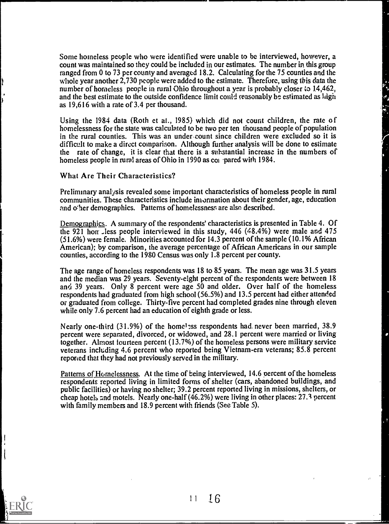Some homeless people who were identified were unable to be interviewed, however, a count was maintained so they could be included in our estimates. The number in this group ranged from 0 to 73 per county and averaged 18.2. Calculating for the 75 counties and the whole year another 2,730 people were added to the estimate. Therefore, using this data the number of homeless people in rural Ohio throughout a year is probably closer to 14,462, and the best estimate to the outside confidence limit could reasonably be estimated as high as 19,616 with a rate of 3.4 per thousand.

Using the  $1984$  data (Roth et al., 1985) which did not count children, the rate of homelessness for the state was calculated to be two per ten thousand people of population in the rural counties. This was an under-count since children were excluded so it is difficult to make a direct comparison. Although further analysis will be done to estimate the rate of change, it is clear that there is a substantial increase in the numbers of homeless people in rural areas of Ohio in 1990 as col pared with 1984.

What Are Their Characteristics?

Preliminary analysis revealed some important characteristics of homeless people in rural communities. These characteristics include information about their gender, age, education and other demographics. Patterns of homelessness are also described.

Demographics. A summary of the respondents' characteristics is presented in Table 4. Of the 921 horr -less people interviewed in this study,  $446$   $(48.4\%)$  were male and  $475$ (51.6%) were female. Minorities accounted for 14.3 percent of the sample (10.1% African American); by comparison, the average percentage of African Americans in our sample counties, according to the 1980 Census was only 1.8 percent per county.

The age range of homeless respondents was 18 to 85 years. The mean age was 31.5 years and the median was 29 years. Seventy-eight percent of the respondents were between 18 and 39 years. Only 8 percent were age 50 and older. Over half of the homeless respondents had graduated from high school (56.5%) and 13.5 percent had either attended or graduated from college. Thirty-five percent had completed grades nine through eleven while only 7.6 percent had an education of eighth grade or less.

Nearly one-third (31.9%) of the homel:ss respondents had, never been married, 38.9 percent were separated, divorced, or widowed, and 28.1 percent were married or living together. Almost fourteen percent (13.7%) of the homeless persons were military service veterans including 4.6 percent who reported being Vietnam-era veterans; 85.8 percent reponed that they had not previously served in the military.

Patterns of Homelessness. At the time of being interviewed, 14.6 percent of the homeless respondents reported living in limited forms of shelter (cars, abandoned buildings, and public facilities) or having no shelter; 39.2 percent reported living in missions, shelters, or cheap hotels and motels. Nearly one-half (46.2%) were living in other places: 27.3 percent with family members and 18.9 percent with friends (See Table 5).

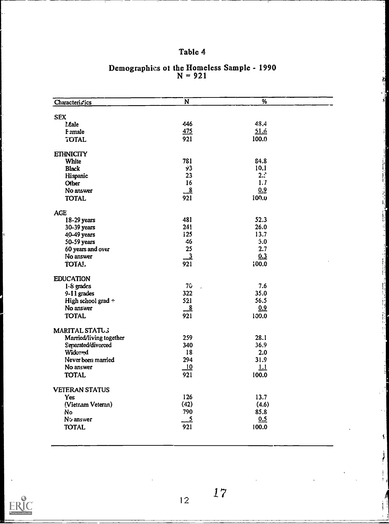## Table 4

| Characteristics                               | $\overline{\textsf{N}}$   | %                       |  |
|-----------------------------------------------|---------------------------|-------------------------|--|
|                                               |                           |                         |  |
| <b>SEX</b>                                    |                           |                         |  |
| <b>Male</b>                                   | 446                       | 48.4                    |  |
| Female                                        | 475                       | 51.6                    |  |
| <b>TOTAL</b>                                  | 921                       | 100.0                   |  |
| <b>ETHNICITY</b>                              |                           |                         |  |
| White                                         | 781                       | 84.8                    |  |
| <b>Black</b>                                  | Ý3.                       | 10.1                    |  |
| Hispanic                                      | 23                        | 2.5                     |  |
| <b>Other</b>                                  | 16                        | 1.7                     |  |
| No answer                                     | 8                         | 0.9                     |  |
| <b>TOTAL</b>                                  | 921                       | 100.0                   |  |
| AGE                                           |                           |                         |  |
| 18-29 years                                   | 481                       | 52.3                    |  |
| 30-39 years                                   | 241                       | 26.0                    |  |
| 40-49 years                                   | <b>i25</b>                | 13.7                    |  |
| 50-59 years                                   | 46                        | 3.0                     |  |
| 60 years and over                             | 25                        | 2.7                     |  |
| No answer                                     | $\overline{\phantom{0}3}$ | 0.3                     |  |
| TOTAL                                         | 921                       | 0.001                   |  |
| <b>EDUCATION</b>                              |                           |                         |  |
| 1.8 grades                                    | 76 <sub>2</sub>           | 7.6                     |  |
| $9-11$ grades                                 | 322                       | 35.0                    |  |
| High school grad +                            | 521                       | 56.5                    |  |
| No answer                                     | $_{-8}$                   | 0.9                     |  |
| <b>TOTAL</b>                                  | 921                       | 100.0                   |  |
|                                               |                           |                         |  |
| MARITAL STATU3                                | 259                       | 28.1                    |  |
| Married/living together<br>Separated/divorced | 340                       | 36.9                    |  |
| Widowed                                       | 18                        | 2.0                     |  |
| Never been married                            | 294                       | 31.9                    |  |
| No answer                                     | 10                        | $\overline{\mathbf{H}}$ |  |
| <b>TOTAL</b>                                  | 921                       | 100.0                   |  |
|                                               |                           |                         |  |
| <b>VETERAN STATUS</b>                         |                           |                         |  |
| <b>Yes</b>                                    | 126                       | 13.7                    |  |
| (Vietnam Veteran)                             | (42)                      | (4.6)                   |  |
| No                                            | 790                       | 85.8                    |  |
| No answer                                     | <u>5</u>                  | 0.5                     |  |
| <b>TOTAL</b>                                  | 921                       | 100.0                   |  |
|                                               |                           |                         |  |

#### Demographics 01 the Homeless Sample - 1990  $N = 921$



1 2

17

-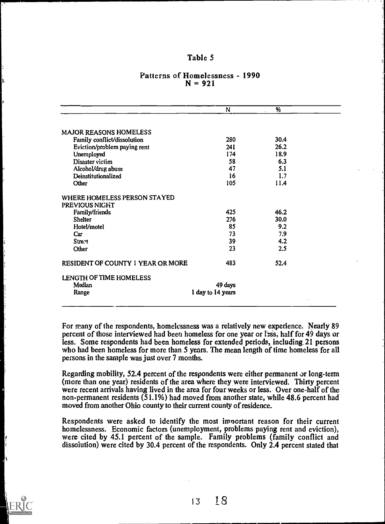#### Table 5

| 280 | 30.4                                     |                   |
|-----|------------------------------------------|-------------------|
| 241 | 26.2                                     |                   |
| 174 | 18.9                                     |                   |
| 58  | 6.3                                      |                   |
| 47  | 5.1                                      |                   |
| 16  | 1.7                                      |                   |
| 105 | 11.4                                     |                   |
|     |                                          |                   |
|     |                                          |                   |
| 425 | 46.2                                     |                   |
| 276 |                                          |                   |
|     | 9.2                                      |                   |
| 73  | 7.9                                      |                   |
|     | 4.2                                      |                   |
| 23  | 2.5                                      |                   |
| 483 | 52.4                                     |                   |
|     |                                          |                   |
|     |                                          |                   |
|     |                                          |                   |
|     | 85<br>39<br>49 days<br>1 day to 14 years | 30.0<br>$\bullet$ |

#### Patterns of Homelessness - 1990  $N = 921$

For many of the respondents, homelessness was a relatively new experience. Nearly 89 percent of those interviewed had been homeless for one year or itss, half for 49 days or less. Some respondents had been homeless for extended periods, including 21 persons who had been homeless for more than 5 years. The mean length of time homeless for all persons in the sample was just over 7 months.

Regarding mobility, 52.4 percent of the respondents were either permanent  $\sigma$ r long-term (more than one year) residents of the area where they were interviewed. Thirty percent were recent arrivals having lived in the area for four weeks or less. Over one-half of the non-permanent residents (51.1%) had moved from another state, while 48.6 percent had moved from another Ohio county to their current county of residence.

Respondents were asked to identify the most important reason for their current homelessness. Economic factors (unemployment, problems paying rent and eviction), were cited by 45.1 percent of the sample. Family problems (family conflict and dissolution) were cited by 30.4 percent of the respondents. Only 2.4 percent stated that



 $13 \t18$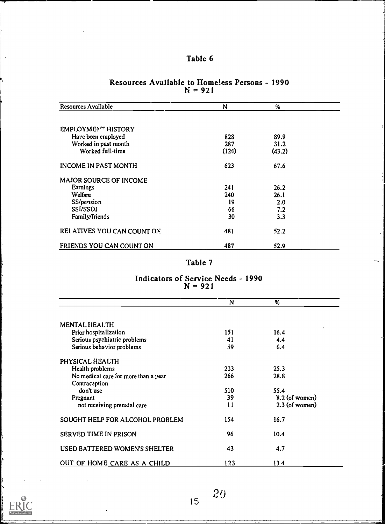| <b>Resources Available</b>    | N     | $\%$   |  |
|-------------------------------|-------|--------|--|
|                               |       |        |  |
| EMPLOYMENT HISTORY            |       |        |  |
| Have been employed            | 828   | 89.9   |  |
| Worked in past month          | 287   | 31.2   |  |
| Worked full-time              | (124) | (43.2) |  |
| <b>INCOME IN PAST MONTH</b>   | 623   | 67.6   |  |
| <b>MAJOR SOURCE OF INCOME</b> |       |        |  |
| Earnings                      | 241   | 26.2   |  |
| Welfare                       | 240   | 26.1   |  |
| SS/pension                    | 19    | 2.0    |  |
| <b>SSVSSDI</b>                | 66    | 7.2    |  |
| Family/friends                | 30    | 3.3    |  |
| RELATIVES YOU CAN COUNT ON    | 481   | 52.2   |  |
| FRIENDS YOU CAN COUNT ON      | 487   | 52.9   |  |

#### Resources Available to Homeless Persons - 1990  $N = 921$

## Table 7

#### Indicators of Service Needs - 1990  $N = 921$

|                                      | N   | %                |
|--------------------------------------|-----|------------------|
|                                      |     |                  |
| <b>MENTAL HEALTH</b>                 |     |                  |
| Prior hospitalization                | 151 | 16.4             |
| Serious psychiatric problems         | 41  | 4.4              |
| Serious behavior problems            | 59  | 6.4              |
| PHYSICAL HEALTH                      |     |                  |
| Health problems                      | 233 | 25.3             |
| No medical care for more than a year | 266 | 28.8             |
| Contraception                        |     |                  |
| don't use                            | 510 | 55.4             |
| Pregnant                             | 39  | $8.2$ (of women) |
| not receiving prenatal care          | 11  | $2.3$ (of women) |
| SOUGHT HELP FOR ALCOHOL PROBLEM      | 154 | 16.7             |
| SERVED TIME IN PRISON                | 96  | 10.4             |
| USED BATTERED WOMEN'S SHELTER        | 43  | 4.7              |
| OUT OF HOME CARE AS A CHILD          | 123 | 134              |



 $\bar{\mathbf{r}}$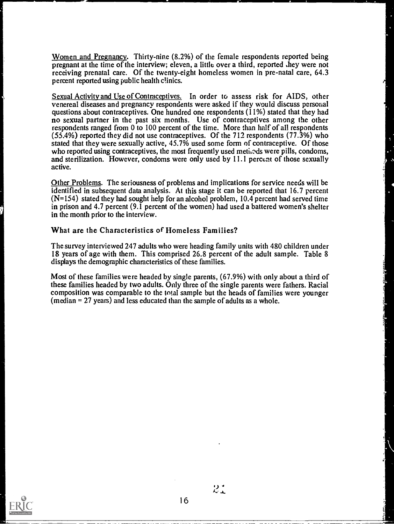Women and Pregnancy. Thirty-nine (8.2%) of the female respondents reported being pregnant at the time of the interview; eleven, a little over a third, reported they were not receiving prenatal care. Of the twenty-eight homeless women in pre-natal care, 64.3 percent reported using public health clinics.

Sexual Activity and Use of Contraceptives. In order to assess risk for AIDS, other venereal diseases and pregnancy respondents were asked if they would discuss personal questions about contraceptives. One hundred one respondents (11%) stated that they had no sexual partner in the past six months. Use of contraceptives among the other respondents ranged from 0 to 100 percent of the time. More than half of all respondents (55.4%) reported they did not use contraceptives. Of the 712 respondents (77.3%) who stated that they were sexually active, 45.7% used some form of contraceptive. Of those who reported using contraceptives, the most frequently used methods were pills, condoms, and sterilization. However, condoms were only used by 11.1 percent of those sexually active.

Other Problems. The seriousness of problems and implications for service needs will be identified in subsequent data analysis. At this stage it can be reported that 16.7 percent  $(N=154)$  stated they had sought help for an alcohol problem, 10.4 percent had served time in prison and 4.7 percent (9.1 percent of the women) had used a battered women's shelter in the month prior to the interview.

What are the Characteristics of Homeless Families?

The survey interviewed 247 adults who were heading family units with 480 children under 18 years of age with them. This comprised 26.8 percent of the adult sample. Table 8 displays the demographic characteristics of these families.

Most of these families were headed by single parents, (67.9%) with only about a third of these families headed by two adults. Only three of the single parents were fathers. Racial composition was comparable to the total sample but the heads of families were younger (median = 27 years) and less educated than the sample of adults as a whole.



 $\mathcal{Z}_+^*$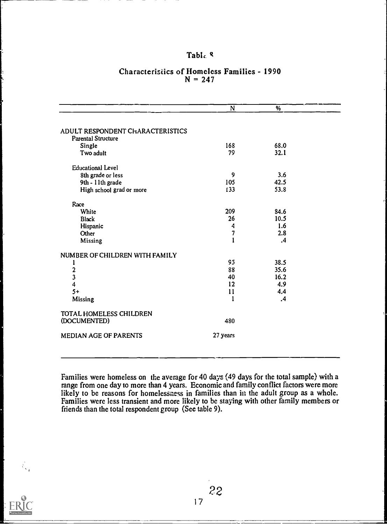### Table <sup>q</sup>

| 168          | 68.0          |  |
|--------------|---------------|--|
| 79           | 32.1          |  |
|              |               |  |
| 9            | 3.6           |  |
| 105          | 42.5          |  |
| 133          | 53.8          |  |
|              |               |  |
| 209          | 84.6          |  |
| 26           | 10.5          |  |
| 4            | 1.6           |  |
| 7            | 2.8           |  |
| $\mathbf{1}$ | $\mathbf{.4}$ |  |
|              |               |  |
| 95           | 38.5          |  |
| 88           | 35.6          |  |
| 40           | 16.2          |  |
| 12           | 4.9           |  |
| 11           | 4.4           |  |
| 1            | $\cdot$       |  |
|              |               |  |
| 480          |               |  |
| 27 years     |               |  |
|              |               |  |

#### Characteristics of Homeless Families - 1990  $N = 247$

Families were homeless on the average for 40 days (49 days for the total sample) with a range from one day to more than 4 years. Economic and family conflict factors were more likely to be reasons for homelessness in families than in the adult group as a whole. Families were less transient and more likely to be staying with other family members or friends than the total respondent group (See table 9).



 $\hat{\mathcal{N}}_{\mathbf{v}_2}$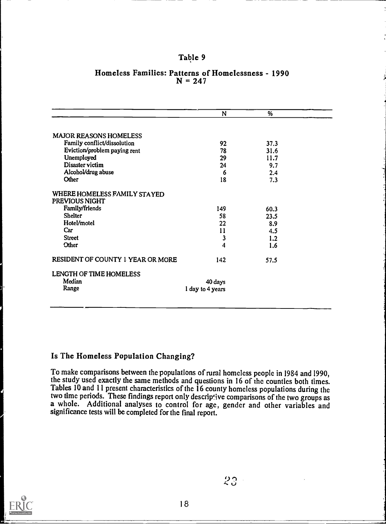#### Table 9

|                                                | N                | %    |  |
|------------------------------------------------|------------------|------|--|
|                                                |                  |      |  |
| <b>MAJOR REASONS HOMELESS</b>                  |                  |      |  |
| Family conflict/dissolution                    | 92               | 37.3 |  |
| Eviction/problem paying rent                   | 78               | 31.6 |  |
| Unemployed                                     | 29               | 11.7 |  |
| Disaster victim                                | 24               | 9.7  |  |
| Alcohol/drug abuse                             | 6                | 2.4  |  |
| <b>Other</b>                                   | 18               | 7.3  |  |
| WHERE HOMELESS FAMILY STAYED<br>PREVIOUS NIGHT |                  |      |  |
| Family/friends                                 | 149              | 60.3 |  |
| <b>Shelter</b>                                 | 58               | 23.5 |  |
| Hotel/motel                                    | 22               | 8.9  |  |
| Car                                            | 11               | 4.5  |  |
| <b>Street</b>                                  | 3                | 1.2  |  |
| Other                                          | 4                | 1.6  |  |
| RESIDENT OF COUNTY 1 YEAR OR MORE              | 142              | 57.5 |  |
| LENGTH OF TIME HOMELESS                        |                  |      |  |
| Median                                         | 40 days          |      |  |
| Range                                          | 1 day to 4 years |      |  |

#### Homeless Families: Patterns of Homelessness - 1990  $N = 247$

## Is The Homeless Population Changing?

To make comparisons between the populations of rural homeless people in 1984 and 1990, the study used exactly the same methods and questions in 16 of the counties both times. Tables 10 and 11 present characteristics of the 16 county homeless populations during the two time periods. These findings report only descrip jve comparisons of the two groups as a whole. Additional analyses to control for age, gender and other variables and significance tests will be completed for the final report.

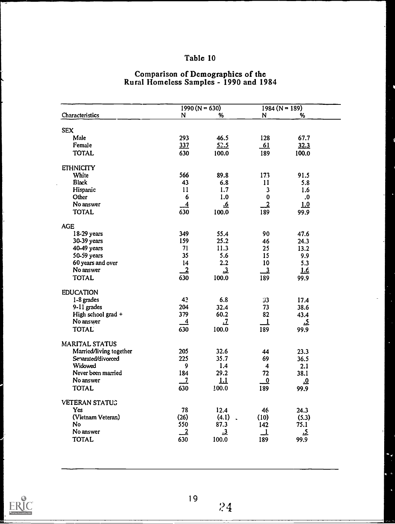## Table 10

## Comparison of Demographics of the Rural Homeless Samples - 1990 and 1984

|                         | $1990 (N = 630)$ |                               | $1984 (N = 189)$        |                         |  |
|-------------------------|------------------|-------------------------------|-------------------------|-------------------------|--|
| Characteristics         | $\mathbf N$      | %                             | N                       | ₩                       |  |
|                         |                  |                               |                         |                         |  |
| <b>SEX</b>              |                  |                               |                         |                         |  |
| Male                    | 293              | 46.5                          | 128                     | 67.7                    |  |
| Female                  | 337              | 52.5                          | 61                      | 32.3                    |  |
| <b>TOTAL</b>            | 630              | 100.0                         | 189                     | 100.0                   |  |
| <b>ETHNICITY</b>        |                  |                               |                         |                         |  |
| White                   | 566              | 89.8                          | 173                     | 91.5                    |  |
| <b>Black</b>            | 43               | ó.8                           | 11                      | 5.8                     |  |
| Hispanic                | 11               | 1.7                           | $\overline{\mathbf{3}}$ | 1.6                     |  |
| Other                   | 6                | 1.0                           | $\bf{0}$                | .0                      |  |
| No answer               | $\overline{4}$   | <u>.6</u>                     | $\overline{2}$          | 1.0                     |  |
| <b>TOTAL</b>            | 630              | 100.0                         | 189                     | 99.9                    |  |
| <b>AGE</b>              |                  |                               |                         |                         |  |
| 18-29 years             | 349              | 55.4                          | 90                      | 47.6                    |  |
| 30-39 years             | 159              | 25.2                          | 46                      | 24.3                    |  |
| 40-49 years             | 71               | 11.3                          | 25                      | 13.2                    |  |
| 50-59 years             | 35               | 5.6                           | 15                      | 9.9                     |  |
| 60 years and over       | 14               | 2.2                           | 10                      | 5.3                     |  |
| No answer               | $\overline{2}$   | $\overline{\mathbf{3}}$       | $\overline{3}$          | LE                      |  |
| <b>TOTAL</b>            | 630              | 100.0                         | 189                     | 99.9                    |  |
| <b>EDUCATION</b>        |                  |                               |                         |                         |  |
| 1-8 grades              | 4 <sup>2</sup>   | 6.8                           | 33                      | 17.4                    |  |
| 9-11 grades             | 204              | 32.4                          | 73                      | 38.6                    |  |
| High school grad +      | 379              | 60.2                          | 82                      | 43.4                    |  |
| No answer               | $\overline{4}$   | $\overline{1}$                | 1                       | <u>ي.</u>               |  |
| <b>TOTAL</b>            | 630              | 100.0                         | 189                     | 99.9                    |  |
|                         |                  |                               |                         |                         |  |
| <b>MARITAL STATUS</b>   |                  |                               |                         |                         |  |
| Married/living together | 205              | 32.6                          | 44                      | 23.3                    |  |
| Senarated/divorced      | 225              | 35.7                          | 69                      | 36.5                    |  |
| Widowed                 | 9                | 1.4                           | 4                       | 2.1                     |  |
| Never been married      | 184              | 29.2                          | 72                      | 38.1                    |  |
| No answer               | $\overline{1}$   | 1.1                           | $\pmb{0}$               | $\overline{\mathbf{0}}$ |  |
| <b>TOTAL</b>            | 630              | 100.0                         | 189                     | 99.9                    |  |
| <b>VETERAN STATUG</b>   |                  |                               |                         |                         |  |
| Yes                     | 78               | 12.4                          | 46                      | 24.3                    |  |
| (Vietnam Veteran)       | (26)             | (4.1)<br>$\ddot{\phantom{1}}$ | (10)                    | (5.3)                   |  |
| No                      | 550              | 87.3                          | 142                     | 75.1                    |  |
| No answer               | $\overline{2}$   | $\mathbf{r}$                  | 1                       | <u>.5</u>               |  |
| <b>TOTAL</b>            | 630              | 100.0                         | 189                     | 99.9                    |  |

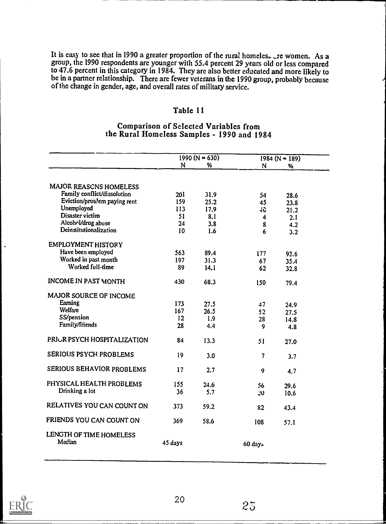It is easy to see that in 1990 a greater proportion of the rural homeles. The women. As a group, the 1990 respondents are younger with 55.4 percent 29 ycars old or to 47.6 percent in this category in 1984. They are also better educated and more likel be in a partner relationship. There are fewer veterans in the 1990 group, probably becau of the change in gender, age, and overall rates of military service. less compared more likely to bably because

#### Table 11

#### Comparison of Selected Variables from the Rural Homeless Samples - 1990 and 1984

|                                   | $1990 (N = 630)$ |      |                | $1984 (N = 189)$ |  |
|-----------------------------------|------------------|------|----------------|------------------|--|
|                                   | N                | %    | N              | %                |  |
|                                   |                  |      |                |                  |  |
| <b>MAJOR REASCNS HOMELESS</b>     |                  |      |                |                  |  |
| Family conflict/dissolution       | 201              | 31.9 | 54             | 28.6             |  |
| Eviction/problem paying rent      | 159              | 25.2 | 45             | 23.8             |  |
| Unemployed                        | 113              | 17.9 | $40 -$         | 21.2             |  |
| Disaster victim                   | 51               | 8.1  | 4              | 2.1              |  |
| Alcohol/drug abuse                | 24               | 3.8  | 8              | 4.2              |  |
| Deinstitutionalization            | 10               | 1.6  | 6              | 3.2              |  |
| <b>EMPLOYMENT HISTORY</b>         |                  |      |                |                  |  |
| Have been employed                | 563              | 89.4 | 177            | 93.6             |  |
| Worked in past month              | 197              | 31.3 | 67             | 35.4             |  |
| Worked full-time                  | 89               | 14.1 | 62             | 32.8             |  |
|                                   |                  |      |                |                  |  |
| <b>INCOME IN PAST MONTH</b>       | 430              | 68.3 | 150            | 79.4             |  |
| MAJOR SOURCE OF INCOME            |                  |      |                |                  |  |
| Earning                           | 173              | 27.5 | 47             | 24.9             |  |
| Welfare                           | 167              | 26.5 | 52             | 27.5             |  |
| SS/pension                        | 12               | 1.9  | 28             | 14.8             |  |
| Family/friends                    | 28               | 4.4  | 9              | 4.8              |  |
|                                   |                  |      |                |                  |  |
| PRIUR PSYCH HOSPITALIZATION       | 84               | 13.3 | 51             | 27.0             |  |
| <b>SERIOUS PSYCH PROBLEMS</b>     | 19               | 3.0  | $\overline{7}$ | 3.7              |  |
|                                   |                  |      |                |                  |  |
| SERIOUS BEHAVIOR PROBLEMS         | 17               | 2.7  | 9              | 4.7              |  |
| PHYSICAL HEALTH PROBLEMS          | 155              | 24.6 | 56             | 29.6             |  |
| Drinking a lot                    | 36               | 5.7  | 20             | 10.6             |  |
|                                   |                  |      |                |                  |  |
| RELATIVES YOU CAN COUNT ON        | 373              | 59.2 | 82             | 43.4             |  |
| FRIENDS YOU CAN COUNT ON          | 369              | 58.6 | 108            | 57.1             |  |
| LENGTH OF TIME HOMELESS<br>Median | 45 days          |      | 60 days        |                  |  |

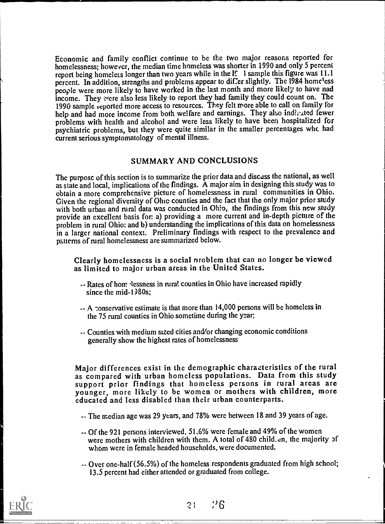Economic and family conflict continue to be the two major reasons reported for homelessness; however, the median time homeless was shorter in 1990 and only 5 percent report being homeless longer than two years while in the  $\mathbb{I}$ . I sample this figure was 11.1 percent. In addition, strengths and problems appear to differ slightly. The 1984 homeless people were more likely to have worked in the last month and more likely to have nad income. They vere also less likely to report they had family they could count on. The 1990 sample reported more access to resources. They felt more able to call on family for help and had more income from both welfare and earnings. They also indicated fewer problems with health and alcohol and were less likely to have been hospitalized for psychiatric problems, but they were quite similar in the smaller percentages whc. had current serious symptomatology of mental illness.

#### SUMMARY AND CONCLUSIONS

The purpose of this section is to summarize the prior data and discuss the national, as well as state and local, implications of thc findings. A major aim in designing this study was to obtain a morc comprehensive picture of homelessness in rural communities in Ohio. Given the regional diversity of Ohic counties and the fact that the only major prior study with both urban and rural data was conducted in Ohio, the findings from this new study provide an excellent basis for: a) providing a more current and in-depth picture of the problem in rural Ohio: and b) understanding the implications of this data on homelessness in a larger national context. Preliminary findings with respect to the prevalence and patterns of rural homelessness arc summarized below.

Clearly homelessness is a social nroblem that can no longer be viewed as limited to major urban arcas in thc United Statcs.

- -- Rates of home lessness in rural counties in Ohio have increased rapidly since the mid- $1\frac{3}{80}$ s;
- -- A conservative estimate is that more than 14,000 persons will be homeless in thc 75 rural countics in Ohio sometime during the year;
- -- Counties with medium sized cities and/or changing economic conditions generally show the highest rates of homelessness

Major differences exist in the demographic characteristics of the rural as compared with urban homeless populations. Data from this study support prior findings that homeless persons in rural areas are younger, more likely to be women or mothers with children, more cducatcd and less disabled than thcir urban counterparts.

- -- The median age was 29 years, and 78% wcrc between 18 and 39 years of age.
- -- Of the 921 persons interviewed, 51.6% were female and 49% of the women were mothers with children with them. A total of 480 child. en, the majority of whom were in female headed households, were documented.
- -- Over one-half(56.5%) of the homeless respondents graduated from high school; 13.5 percent had either attended or graduated from college.

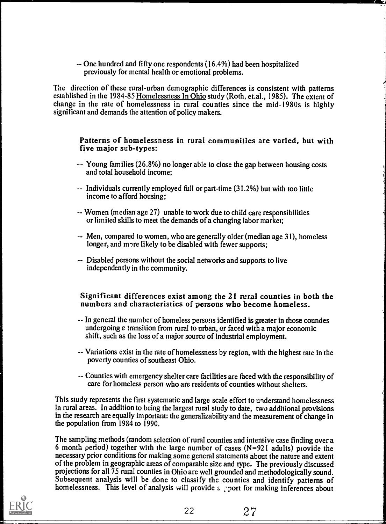-- One hundred and fifty one respondents (16.4%) had been hospitalized previously for mental health or emotional problems.

The direction of these rural-urban demographic differences is consistent with patterns established in the 1984-85 Homelessness In Ohio study (Roth, et.al., 1985). The extent of change in the rate of homelessness in rural counties since the mid-1980s is highly significant and demands the attention of policy makers.

Patterns of homelessness in rural communities are varied, but with five major sub-types:

- -- Young families (26.8%) no longer able to close the gap between housing costs and total household income;
- -- Individuals currently employed full or part-time (31.2%) but with too little income to afford housing;
- -- Women (median age 27) unable to work due to child care responsibilities or limited skills to meet the demands of a changing labor market;
- -- Men, compared to women, who are generally older (median age 31), homeless longer, and more likely to be disabled with fewer supports;
- -- Disabled persons without the social networks and supports to live independently in the community.

## Significant differences exist among the 21 rural counties in both the numbers and characteristics of persons who become homeless.

- -- In general the number of homeless persons identified is greater in those coundes undergoing  $\varepsilon$  transition from rural to urban, or faced with a major economic shift, such as the loss of a major source of industrial employment.
- -- Variations exist in the rate of homelessness by region, with the highest rate in the poverty counties of southeast Ohio.
- -- Counties with emergency shelter care facilities are faced with the responsibility of care for homeless person who are residents of counties without shelters.

This study represents the first systematic and large scale effort to understand homelessness in rural areas. In addition to being the largest rural study to date, two additional provisions in the research are equally important: the generalizability and the measurement of change in the population from 1984 to 1990.

The sampling methods (random selection of rural counties and intensive case finding over a 6 month period) together with the large number of cases (N=921 adults) provide the necessary prior conditions for making some general statements about the nature and extent of the problem in geographic areas of comparable size and type. The previously discussed projections for all 75 rural counties in Ohio are well grounded and methodologically sound. Subsequent analysis will be done to classify the counties and identify patterns of homelessness. This level of analysis will provide s port for making inferences about

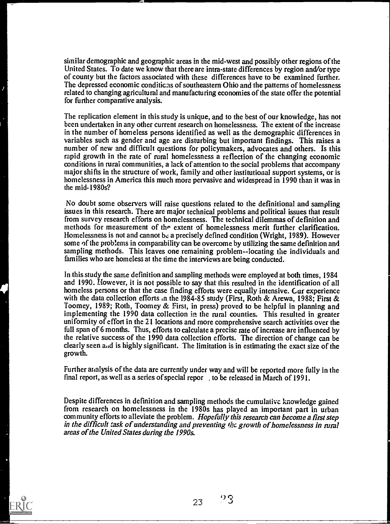similar demographic and geographic areas in the mid-west and possibly other regions of the United States. To date we know that there are intra-state differences by region and/or type of county but the factors associated with these differences have to be examined further. The depressed economic conditicas of southeastern Ohio and the patterns of homelessness related to changing agriculturdl and manufacturing economies of the state offer the potential for further comparative analysis.

The replication element in this study is unique, and to the best of our knowledge, has not been undertaken in any other current research on homelessness. The extent of the increase in the number of homeless persons identified as well as the demographic differences in variables such as gender and age are disturbing but important findings. This raises a number of new and difficult questions for policymakers, advocates and others. Is this rapid growth in the rate of rural homelessness a reflection of the changing economic conditions in rural communities, a lack of attention to the social problems that accompany major shifts in the structure of work, family and other institutional support systems, or is homelessness in America this much more pervasive and widespread in 1990 than it was in the mid-1980s?

No doubt some observers will raise questions related to the definitional and sampling issues in this research. There are major technical problems and political issues that result from survey research efforts on homelessness. The technical dilemmas of definition and methods for measurement of the extent of homelessness merit further clarification. Homelessness is not and cannot be a precisely defined condition (Wright, 1989). However some of the problems in comparability can be overcome by utilizing the same definition and sampling methods. This leaves one remaining problem--locating the individuals and families who are homeless at the time the interviews are being conducted.

In this study the same definition and sampling methods were employed at both times, 1984 and 1990. However, it is not possible to say that this resulted in the identification of all homeless persons or that the case finding efforts were equally intensive. Gur experience with the data collection efforts in the 1984-85 study (First, Roth & Arewa, 1988; First & Toomey, 1989; Roth, Toomey & First, in press) proved to be helpful in planning and implementing the 1990 data collection in the rural counties. This resulted in greater uniformity of effort in the 21 locations and more comprehensive search activities over the full span of 6 months. Thus, efforts to calculate a precise rate of increase are influenced by the relative success of the 1990 data collection efforts. The direction of change can be clearly seen and is highly significant. The limitation is in estimating the exact size of the growth.

Further aralysis of the data are currently under way and will be reported more fully in the final report, as well as a series of special repor , to be released in March of 1991.

Despite differences in definition and sampling methods the cumulative knowledge gained from research on homelessness in the 1980s has played an important part in urban community efforts to alleviate the problem. Hopefully this research can become a first step in the difficult task of understanding and preventing the growth of homelessness in rural areas of the United States during the 1990s.

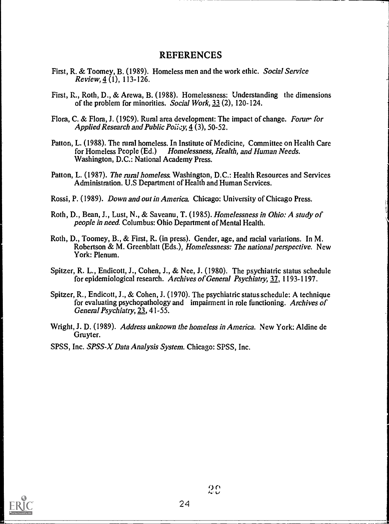#### REFERENCES

- First, R. & Toomey, B. (1989). Homeless men and the work ethic. Social Service  $Review, 4(1), 113-126.$
- First, R., Roth, D., & Arewa, B. (1988). Homelessness: Understanding the dimensions of the problem for minorities. Social Work, 33 (2), 120-124.
- Flora, C. & Flora, J. (1989). Rural area development: The impact of change. Forum for Applied Research and Public Poilcy,  $4(3)$ , 50-52.
- Patton, L. (1988). The mral homeless. In Institute of Medicine, Committee on Health Care for Homeless People (Ed.) Homelessness, Kealth, and Human Needs. Washington, D.C.: National Academy Press.
- Patton, L. (1987). The rural homeless. Washington, D.C.: Health Resources and Services Administration. U.S Department of Health and Human Services.
- Rossi, P. (1989). Down and out in America. Chicago: University of Chicago Press.
- Roth, D., Bean, J., Lust, N., & Saveanu, T. (1985). Homelessness in Ohio: A study of people in need. Columbus: Ohio Department of Mental Health.
- Roth, D., Toomey, B., & First, R. (in press). Gender, age, and racial variations. In M. Robertson & M. Greenblatt (Eds.), *Homelessness: The national perspective.* New York: Plenum.
- Spitzer, R. L., Endicott, J., Cohen, J., & Nee, J. (1980). The psychiatric status schedule for epidemiological research. Archives of General Psychiatry, 37, 1193-1197.
- Spitzer, R., Endicott, J., & Cohen, J. (1970). The psychiatric status schedule: A technique for evaluating psychopathology and impairment in role functioning. Archives of General Psychiatry, 23, 41-55.
- Wright, J. D. (1989). Address unknown the homeless in America. New York: Aldine de Gruyter.
- SPSS, Inc. SPSS-X Data Analysis System. Chicago: SPSS, Inc.



 $20$ 

 $\equiv$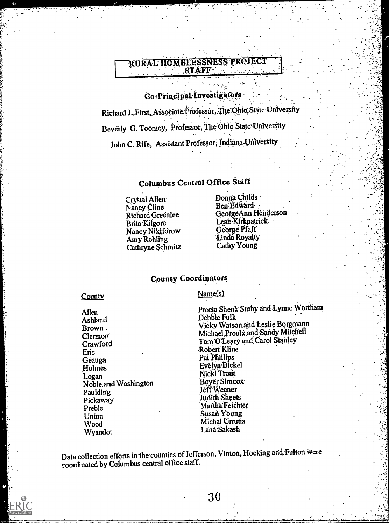## **RURAL HOMELESSNESS PROJECT** STAFF

## Co-Principal Investigators

Richard J. First, Associate Professor, The Ohio State University Beverly G. Toomey, Professor, The Ohio State University John C. Rife, Assistant Professor, Indiana University

## Columbus Central Office Staff

Crystal Allen Nancy Cline **Richard Greenlee** Brita Kilgore Nancy Nikiforow Amy Rohling Cathryne Schmitz Donna Childs Ben Edward GeorgeAnn Henderson Leah-Kirkpatrick George Pfaff Linda Royalty Cathy Young

#### **County Coordinators**

 $Name(s)$ 

County

Allen Ashland Brown. Clemon<sup>®</sup> Crawford Eric Geauga Holmes Logan Noble and Washington Paulding Pickaway Preble Union Wood Wyandot

Precia Shenk Stuby and Lynne Wortham Debbie Fulk Vicky Watson and Leslie Borgmann Michael Proulx and Sandy Mitchell Tom O'Leary and Carol Stanley Robert Kline Pat Phillips Evelyn Bickel Nicki Trout Boyer Simcox Jeff Weaner Judith Sheets Martha Feichter Susan Young Michal Urrutia Laná Sakash

Data collection efforts in the counties of Jefferson, Vinton, Hocking and Fulton were coordinated by Columbus central office staff.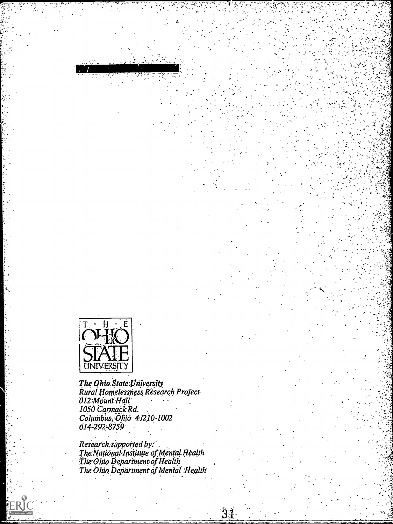

The Ohio State University<br>Rural Homelessness Research Project<br>012 Mount Hall 1050 Carmack Rd.<br>Columbus, Ölijö 4:1210-1002<br>614-292-8759

Research supported by:<br>The National Institute of Mental Health<br>The Ohio Department of Health<br>The Ohio Department of Mental Health